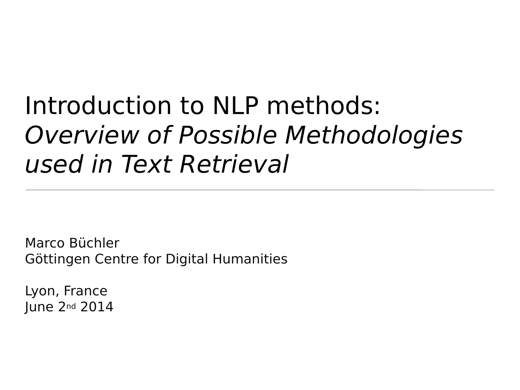# Introduction to NLP methods: Overview of Possible Methodologies used in Text Retrieval

Marco Büchler Göttingen Centre for Digital Humanities

Lyon, France June 2nd 2014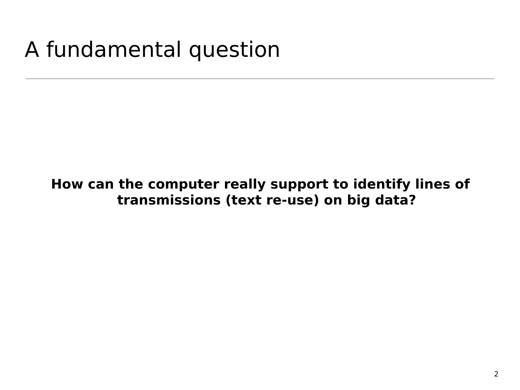# A fundamental question

#### **How can the computer really support to identify lines of transmissions (text re-use) on big data?**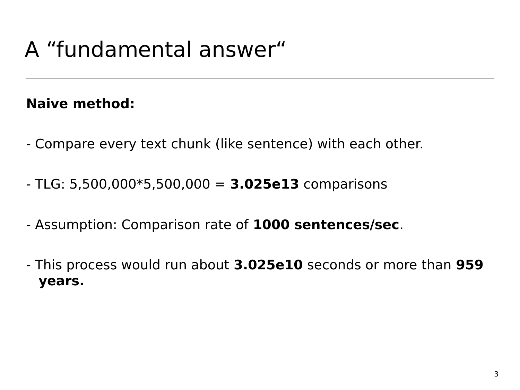# A "fundamental answer"

#### **Naive method:**

- Compare every text chunk (like sentence) with each other.
- TLG: 5,500,000\*5,500,000 = **3.025e13** comparisons
- Assumption: Comparison rate of **1000 sentences/sec**.
- This process would run about **3.025e10** seconds or more than **959 years.**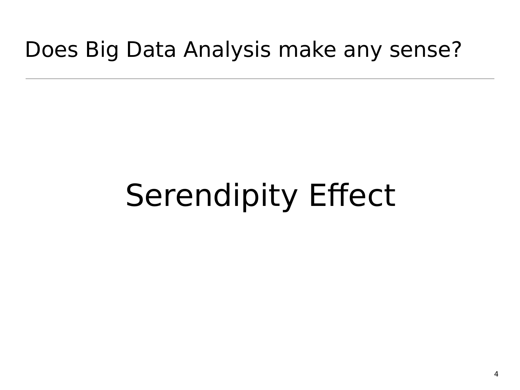### Does Big Data Analysis make any sense?

# Serendipity Effect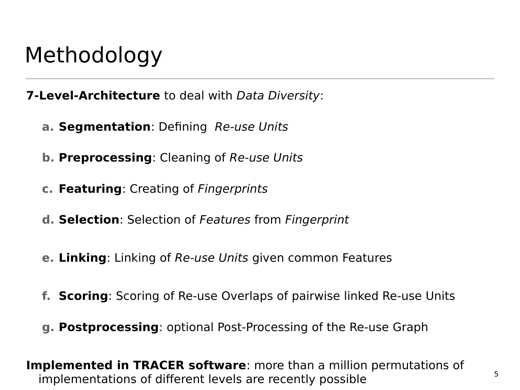### Methodology

**7-Level-Architecture** to deal with Data Diversity:

- **a. Segmentation**: Defining Re-use Units
- **b. Preprocessing**: Cleaning of Re-use Units
- **c. Featuring**: Creating of Fingerprints
- **d. Selection**: Selection of Features from Fingerprint
- **e. Linking**: Linking of Re-use Units given common Features
- **f. Scoring**: Scoring of Re-use Overlaps of pairwise linked Re-use Units
- **g. Postprocessing**: optional Post-Processing of the Re-use Graph

**Implemented in TRACER software**: more than a million permutations of implementations of different levels are recently possible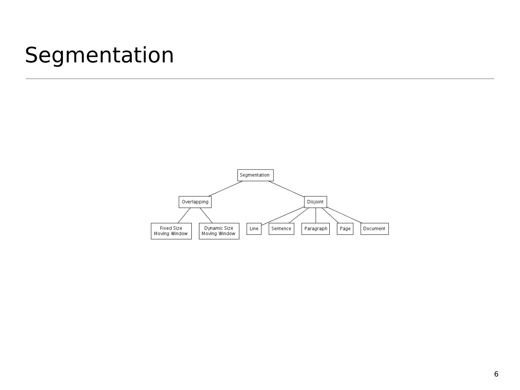### Segmentation

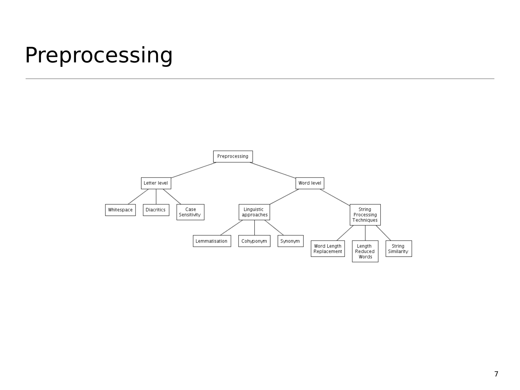#### Preprocessing

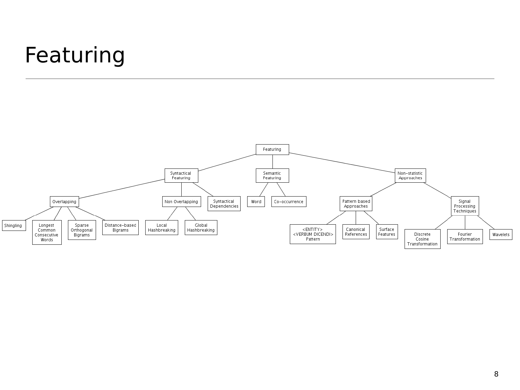# Featuring

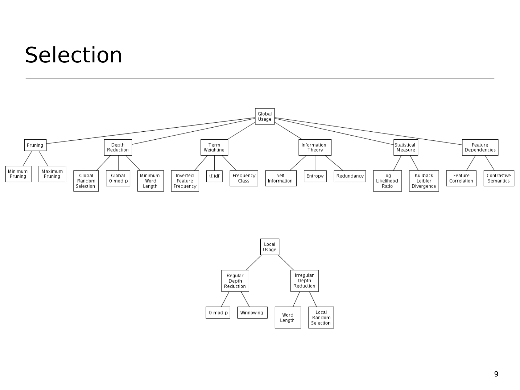### Selection



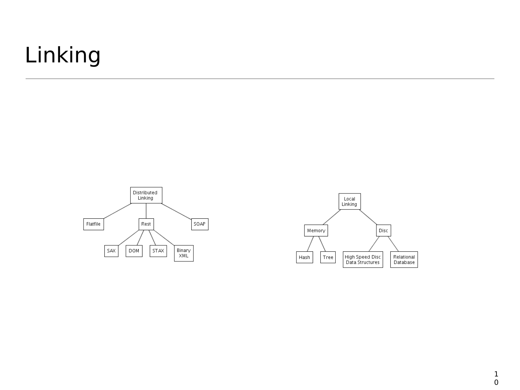# Linking





 $\mathbf{1}$  $\mathbf 0$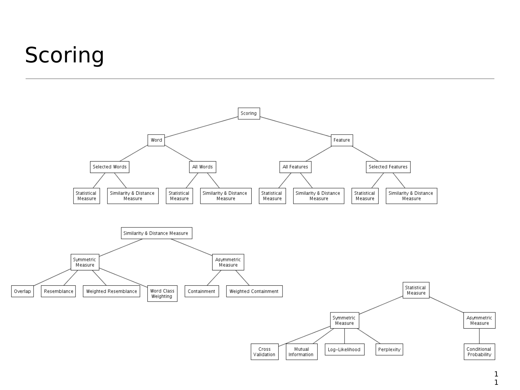# Scoring

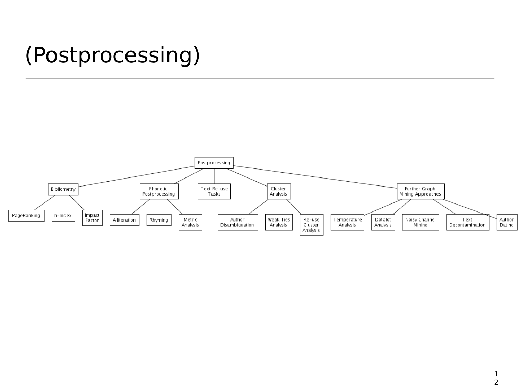# (Postprocessing)